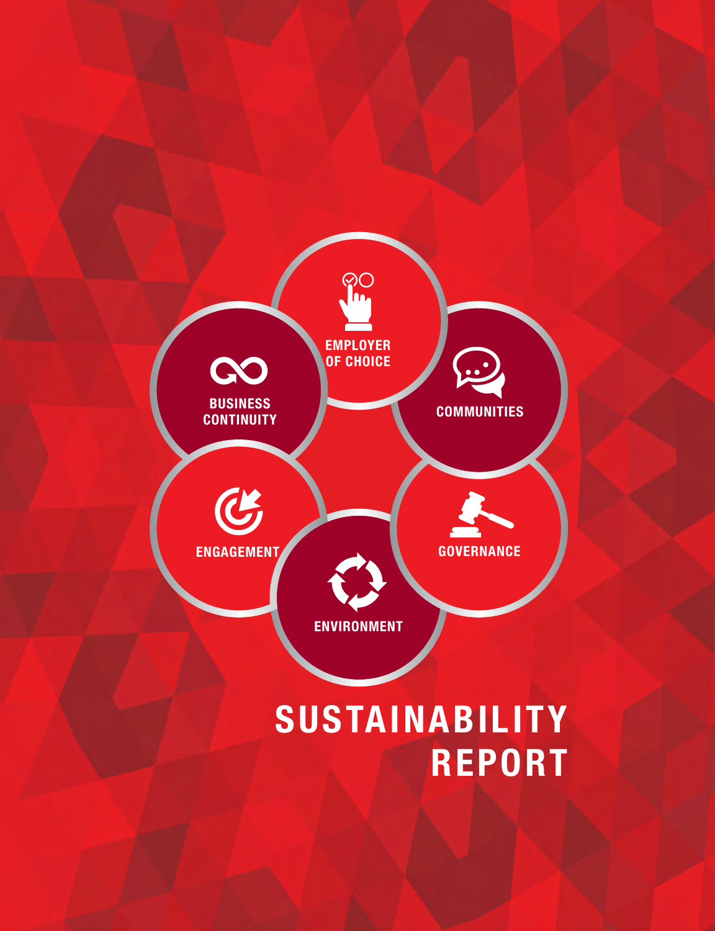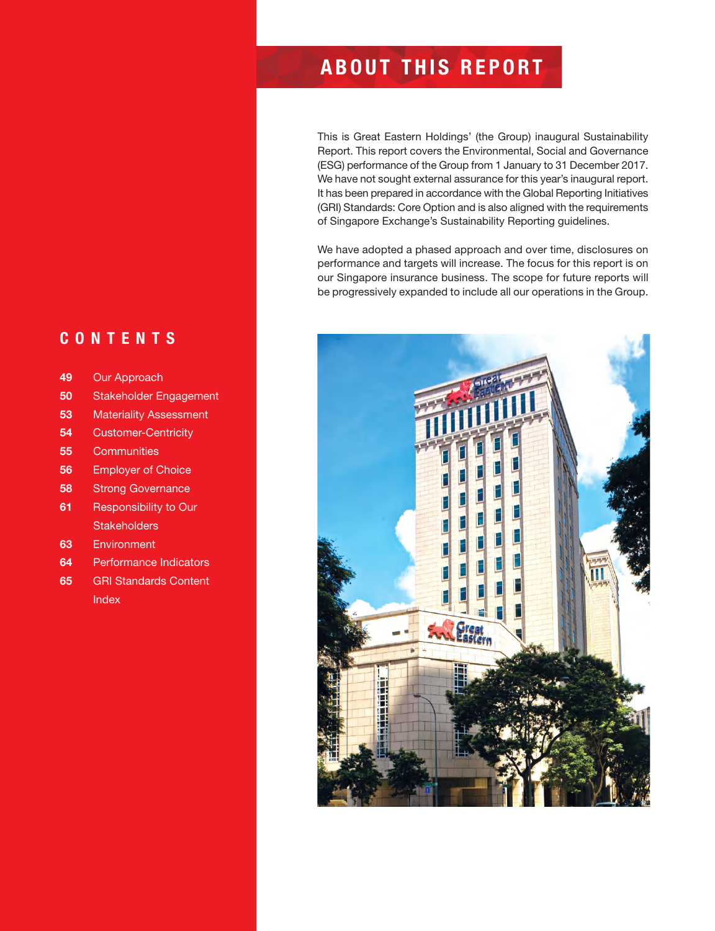### **CONTENTS**

- **49** Our Approach
- **50** Stakeholder Engagement
- **53** Materiality Assessment
- **54** Customer-Centricity
- **55** Communities
- **56** Employer of Choice
- **58** Strong Governance
- **61** Responsibility to Our **Stakeholders**
- **63** Environment
- **64** Performance Indicators
- **65** GRI Standards Content **Index**

# **ABOUT THIS REPORT**

This is Great Eastern Holdings' (the Group) inaugural Sustainability Report. This report covers the Environmental, Social and Governance (ESG) performance of the Group from 1 January to 31 December 2017. We have not sought external assurance for this year's inaugural report. It has been prepared in accordance with the Global Reporting Initiatives (GRI) Standards: Core Option and is also aligned with the requirements of Singapore Exchange's Sustainability Reporting guidelines.

We have adopted a phased approach and over time, disclosures on performance and targets will increase. The focus for this report is on our Singapore insurance business. The scope for future reports will be progressively expanded to include all our operations in the Group.

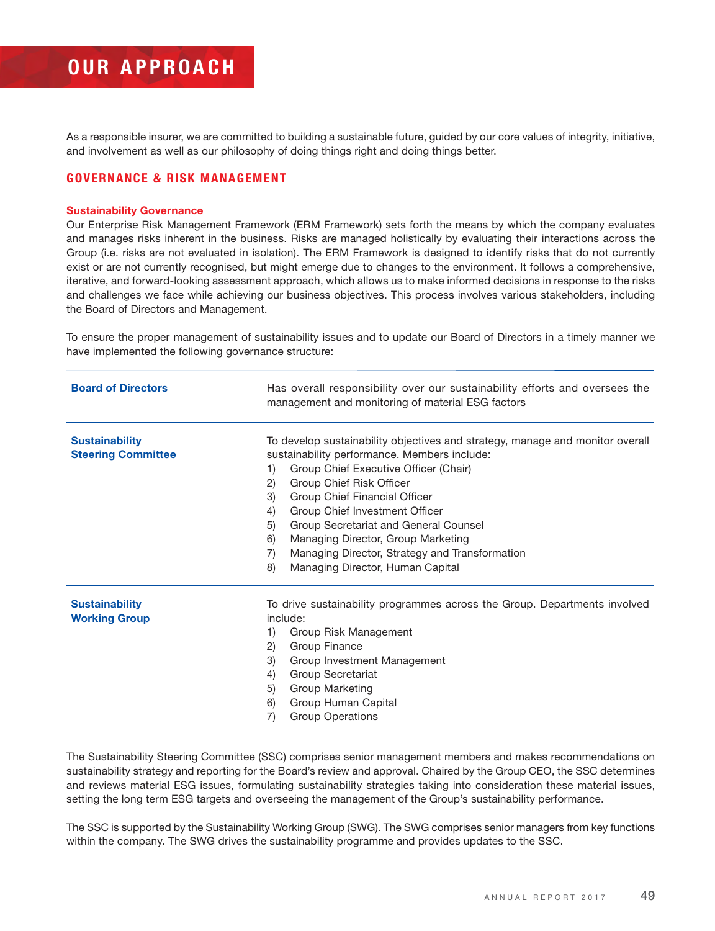# **OUR APPROACH**

As a responsible insurer, we are committed to building a sustainable future, guided by our core values of integrity, initiative, and involvement as well as our philosophy of doing things right and doing things better.

#### **GOVERNANCE & RISK MANAGEMENT**

#### **Sustainability Governance**

Our Enterprise Risk Management Framework (ERM Framework) sets forth the means by which the company evaluates and manages risks inherent in the business. Risks are managed holistically by evaluating their interactions across the Group (i.e. risks are not evaluated in isolation). The ERM Framework is designed to identify risks that do not currently exist or are not currently recognised, but might emerge due to changes to the environment. It follows a comprehensive, iterative, and forward-looking assessment approach, which allows us to make informed decisions in response to the risks and challenges we face while achieving our business objectives. This process involves various stakeholders, including the Board of Directors and Management.

To ensure the proper management of sustainability issues and to update our Board of Directors in a timely manner we have implemented the following governance structure:

| <b>Board of Directors</b> | Has overall responsibility over our sustainability efforts and oversees the<br>management and monitoring of material ESG factors |  |
|---------------------------|----------------------------------------------------------------------------------------------------------------------------------|--|
| <b>Sustainability</b>     | To develop sustainability objectives and strategy, manage and monitor overall                                                    |  |
| <b>Steering Committee</b> | sustainability performance. Members include:                                                                                     |  |
|                           | Group Chief Executive Officer (Chair)<br>1)                                                                                      |  |
|                           | $\mathbf{2}$<br>Group Chief Risk Officer                                                                                         |  |
|                           | Group Chief Financial Officer<br>3)                                                                                              |  |
|                           | Group Chief Investment Officer<br>4)                                                                                             |  |
|                           | Group Secretariat and General Counsel<br>5)                                                                                      |  |
|                           | 6)<br>Managing Director, Group Marketing                                                                                         |  |
|                           | Managing Director, Strategy and Transformation<br>7)                                                                             |  |
|                           | Managing Director, Human Capital<br>8)                                                                                           |  |
| <b>Sustainability</b>     | To drive sustainability programmes across the Group. Departments involved                                                        |  |
| <b>Working Group</b>      | include:                                                                                                                         |  |
|                           | Group Risk Management<br>1)                                                                                                      |  |
|                           | 2)<br>Group Finance                                                                                                              |  |
|                           | 3)<br>Group Investment Management                                                                                                |  |
|                           | Group Secretariat<br>4)                                                                                                          |  |
|                           | Group Marketing<br>5)                                                                                                            |  |
|                           | 6)<br>Group Human Capital                                                                                                        |  |
|                           | <b>Group Operations</b><br>7)                                                                                                    |  |
|                           |                                                                                                                                  |  |

The Sustainability Steering Committee (SSC) comprises senior management members and makes recommendations on sustainability strategy and reporting for the Board's review and approval. Chaired by the Group CEO, the SSC determines and reviews material ESG issues, formulating sustainability strategies taking into consideration these material issues, setting the long term ESG targets and overseeing the management of the Group's sustainability performance.

The SSC is supported by the Sustainability Working Group (SWG). The SWG comprises senior managers from key functions within the company. The SWG drives the sustainability programme and provides updates to the SSC.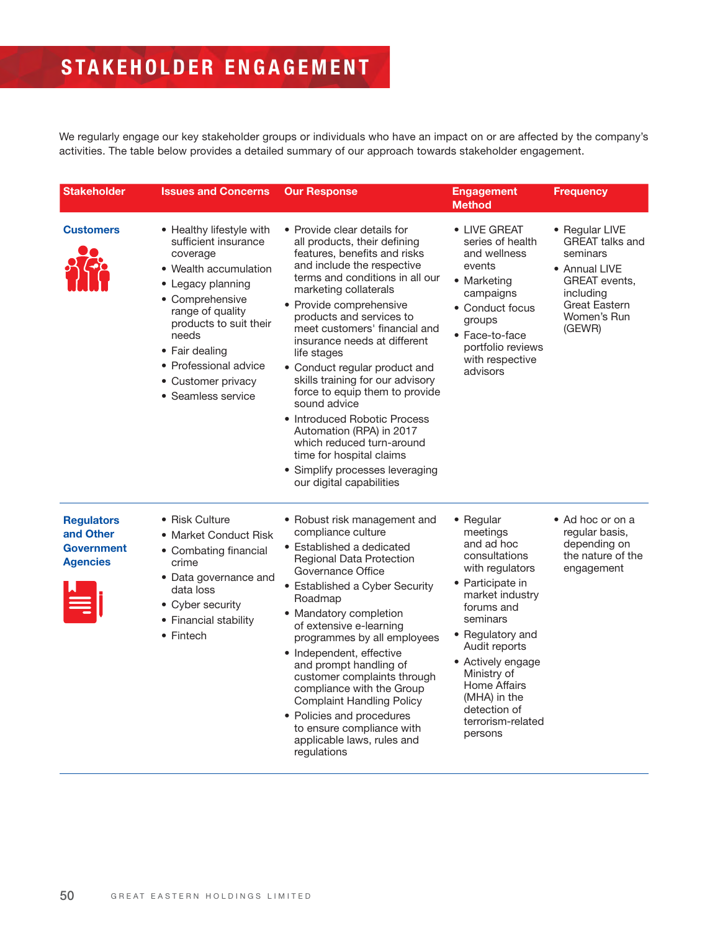# **STAKEHOLDER ENGAGEMENT**

We regularly engage our key stakeholder groups or individuals who have an impact on or are affected by the company's activities. The table below provides a detailed summary of our approach towards stakeholder engagement.

| <b>Stakeholder</b>                                                     | <b>Issues and Concerns</b>                                                                                                                                                                                                                                                  | <b>Our Response</b>                                                                                                                                                                                                                                                                                                                                                                                                                                                                                                                                                                                                                     | <b>Engagement</b><br><b>Method</b>                                                                                                                                                                                                                                                                | <b>Frequency</b>                                                                                                                                     |
|------------------------------------------------------------------------|-----------------------------------------------------------------------------------------------------------------------------------------------------------------------------------------------------------------------------------------------------------------------------|-----------------------------------------------------------------------------------------------------------------------------------------------------------------------------------------------------------------------------------------------------------------------------------------------------------------------------------------------------------------------------------------------------------------------------------------------------------------------------------------------------------------------------------------------------------------------------------------------------------------------------------------|---------------------------------------------------------------------------------------------------------------------------------------------------------------------------------------------------------------------------------------------------------------------------------------------------|------------------------------------------------------------------------------------------------------------------------------------------------------|
| <b>Customers</b>                                                       | • Healthy lifestyle with<br>sufficient insurance<br>coverage<br>• Wealth accumulation<br>• Legacy planning<br>• Comprehensive<br>range of quality<br>products to suit their<br>needs<br>• Fair dealing<br>• Professional advice<br>• Customer privacy<br>• Seamless service | • Provide clear details for<br>all products, their defining<br>features, benefits and risks<br>and include the respective<br>terms and conditions in all our<br>marketing collaterals<br>• Provide comprehensive<br>products and services to<br>meet customers' financial and<br>insurance needs at different<br>life stages<br>• Conduct regular product and<br>skills training for our advisory<br>force to equip them to provide<br>sound advice<br>• Introduced Robotic Process<br>Automation (RPA) in 2017<br>which reduced turn-around<br>time for hospital claims<br>• Simplify processes leveraging<br>our digital capabilities | • LIVE GREAT<br>series of health<br>and wellness<br>events<br>• Marketing<br>campaigns<br>• Conduct focus<br>groups<br>• Face-to-face<br>portfolio reviews<br>with respective<br>advisors                                                                                                         | • Regular LIVE<br><b>GREAT talks and</b><br>seminars<br>• Annual LIVE<br>GREAT events,<br>including<br><b>Great Eastern</b><br>Women's Run<br>(GEWR) |
| <b>Regulators</b><br>and Other<br><b>Government</b><br><b>Agencies</b> | • Risk Culture<br>• Market Conduct Risk<br>• Combating financial<br>crime<br>• Data governance and<br>data loss<br>• Cyber security<br>• Financial stability<br>• Fintech                                                                                                   | • Robust risk management and<br>compliance culture<br>• Established a dedicated<br>Regional Data Protection<br>Governance Office<br>• Established a Cyber Security<br>Roadmap<br>• Mandatory completion<br>of extensive e-learning<br>programmes by all employees<br>• Independent, effective<br>and prompt handling of<br>customer complaints through<br>compliance with the Group<br><b>Complaint Handling Policy</b><br>• Policies and procedures<br>to ensure compliance with<br>applicable laws, rules and<br>regulations                                                                                                          | • Regular<br>meetings<br>and ad hoc<br>consultations<br>with regulators<br>• Participate in<br>market industry<br>forums and<br>seminars<br>• Regulatory and<br>Audit reports<br>• Actively engage<br>Ministry of<br>Home Affairs<br>(MHA) in the<br>detection of<br>terrorism-related<br>persons | • Ad hoc or on a<br>regular basis,<br>depending on<br>the nature of the<br>engagement                                                                |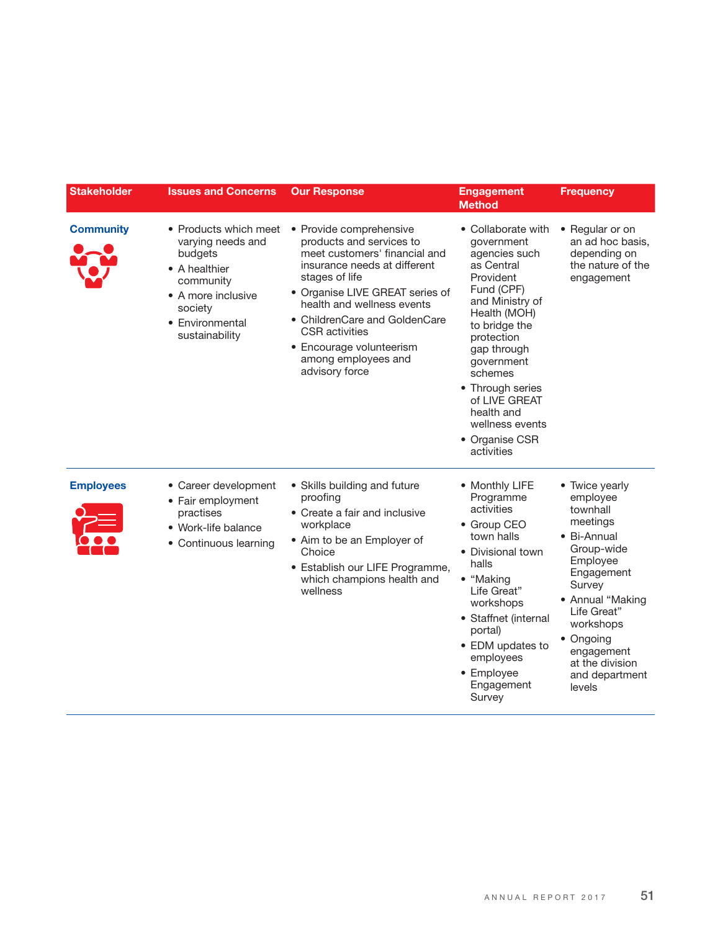| <b>Stakeholder</b> | <b>Issues and Concerns</b>                                                                                                                                | <b>Our Response</b>                                                                                                                                                                                                                                                                                                                    | <b>Engagement</b><br><b>Method</b>                                                                                                                                                                                                                                                                         | <b>Frequency</b>                                                                                                                                                                                                                              |
|--------------------|-----------------------------------------------------------------------------------------------------------------------------------------------------------|----------------------------------------------------------------------------------------------------------------------------------------------------------------------------------------------------------------------------------------------------------------------------------------------------------------------------------------|------------------------------------------------------------------------------------------------------------------------------------------------------------------------------------------------------------------------------------------------------------------------------------------------------------|-----------------------------------------------------------------------------------------------------------------------------------------------------------------------------------------------------------------------------------------------|
| <b>Community</b>   | • Products which meet<br>varying needs and<br>budgets<br>• A healthier<br>community<br>• A more inclusive<br>society<br>• Environmental<br>sustainability | • Provide comprehensive<br>products and services to<br>meet customers' financial and<br>insurance needs at different<br>stages of life<br>• Organise LIVE GREAT series of<br>health and wellness events<br>• ChildrenCare and GoldenCare<br><b>CSR</b> activities<br>• Encourage volunteerism<br>among employees and<br>advisory force | • Collaborate with<br>government<br>agencies such<br>as Central<br>Provident<br>Fund (CPF)<br>and Ministry of<br>Health (MOH)<br>to bridge the<br>protection<br>gap through<br>government<br>schemes<br>• Through series<br>of LIVE GREAT<br>health and<br>wellness events<br>• Organise CSR<br>activities | • Regular or on<br>an ad hoc basis,<br>depending on<br>the nature of the<br>engagement                                                                                                                                                        |
| <b>Employees</b>   | • Career development<br>• Fair employment<br>practises<br>· Work-life balance<br>• Continuous learning                                                    | • Skills building and future<br>proofing<br>• Create a fair and inclusive<br>workplace<br>• Aim to be an Employer of<br>Choice<br>• Establish our LIFE Programme,<br>which champions health and<br>wellness                                                                                                                            | • Monthly LIFE<br>Programme<br>activities<br>• Group CEO<br>town halls<br>• Divisional town<br>halls<br>• "Making<br>Life Great"<br>workshops<br>• Staffnet (internal<br>portal)<br>• EDM updates to<br>employees<br>• Employee<br>Engagement<br>Survey                                                    | • Twice yearly<br>employee<br>townhall<br>meetings<br>• Bi-Annual<br>Group-wide<br>Employee<br>Engagement<br>Survey<br>• Annual "Making<br>Life Great"<br>workshops<br>• Ongoing<br>engagement<br>at the division<br>and department<br>levels |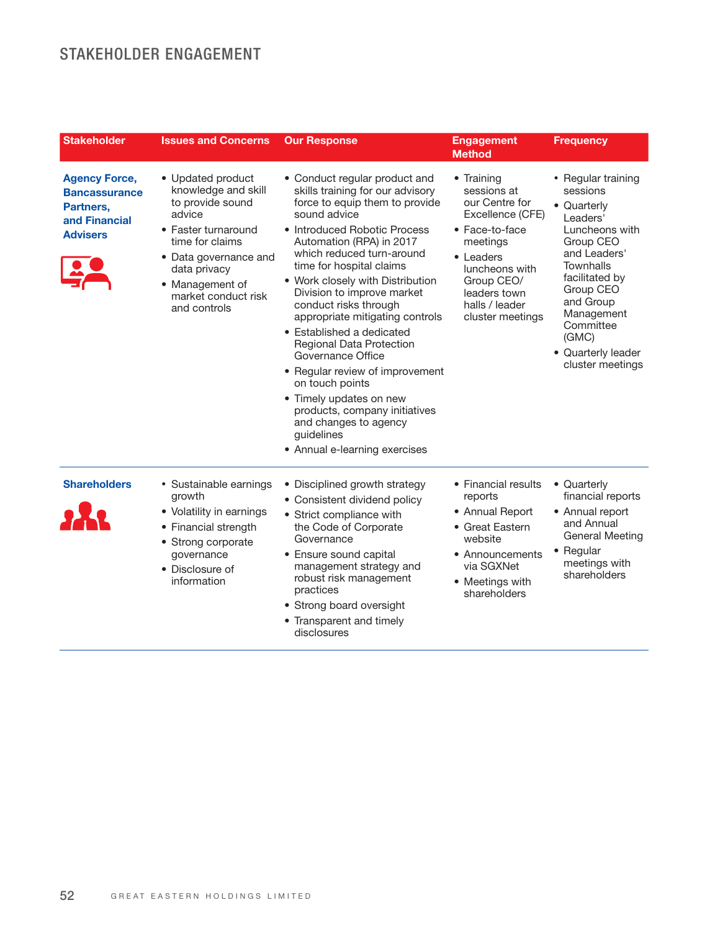## STAKEHOLDER ENGAGEMENT

| <b>Stakeholder</b>                                                                            | <b>Issues and Concerns</b>                                                                                                                                                                                          | <b>Our Response</b>                                                                                                                                                                                                                                                                                                                                                                                                                                                                                                                                                                                                                                   | <b>Engagement</b><br><b>Method</b>                                                                                                                                                               | <b>Frequency</b>                                                                                                                                                                                                                                       |
|-----------------------------------------------------------------------------------------------|---------------------------------------------------------------------------------------------------------------------------------------------------------------------------------------------------------------------|-------------------------------------------------------------------------------------------------------------------------------------------------------------------------------------------------------------------------------------------------------------------------------------------------------------------------------------------------------------------------------------------------------------------------------------------------------------------------------------------------------------------------------------------------------------------------------------------------------------------------------------------------------|--------------------------------------------------------------------------------------------------------------------------------------------------------------------------------------------------|--------------------------------------------------------------------------------------------------------------------------------------------------------------------------------------------------------------------------------------------------------|
| <b>Agency Force,</b><br><b>Bancassurance</b><br>Partners.<br>and Financial<br><b>Advisers</b> | • Updated product<br>knowledge and skill<br>to provide sound<br>advice<br>• Faster turnaround<br>time for claims<br>• Data governance and<br>data privacy<br>• Management of<br>market conduct risk<br>and controls | • Conduct regular product and<br>skills training for our advisory<br>force to equip them to provide<br>sound advice<br>• Introduced Robotic Process<br>Automation (RPA) in 2017<br>which reduced turn-around<br>time for hospital claims<br>• Work closely with Distribution<br>Division to improve market<br>conduct risks through<br>appropriate mitigating controls<br>• Established a dedicated<br><b>Regional Data Protection</b><br>Governance Office<br>• Regular review of improvement<br>on touch points<br>• Timely updates on new<br>products, company initiatives<br>and changes to agency<br>guidelines<br>• Annual e-learning exercises | • Training<br>sessions at<br>our Centre for<br>Excellence (CFE)<br>• Face-to-face<br>meetings<br>• Leaders<br>luncheons with<br>Group CEO/<br>leaders town<br>halls / leader<br>cluster meetings | • Regular training<br>sessions<br>• Quarterly<br>Leaders'<br>Luncheons with<br>Group CEO<br>and Leaders'<br><b>Townhalls</b><br>facilitated by<br>Group CEO<br>and Group<br>Management<br>Committee<br>(GMC)<br>• Quarterly leader<br>cluster meetings |
| <b>Shareholders</b>                                                                           | • Sustainable earnings<br>growth<br>• Volatility in earnings<br>• Financial strength<br>• Strong corporate<br>governance<br>• Disclosure of<br>information                                                          | • Disciplined growth strategy<br>• Consistent dividend policy<br>• Strict compliance with<br>the Code of Corporate<br>Governance<br>• Ensure sound capital<br>management strategy and<br>robust risk management<br>practices<br>• Strong board oversight<br>• Transparent and timely<br>disclosures                                                                                                                                                                                                                                                                                                                                                   | • Financial results<br>reports<br>• Annual Report<br>• Great Eastern<br>website<br>• Announcements<br>via SGXNet<br>• Meetings with<br>shareholders                                              | • Quarterly<br>financial reports<br>• Annual report<br>and Annual<br><b>General Meeting</b><br>• Regular<br>meetings with<br>shareholders                                                                                                              |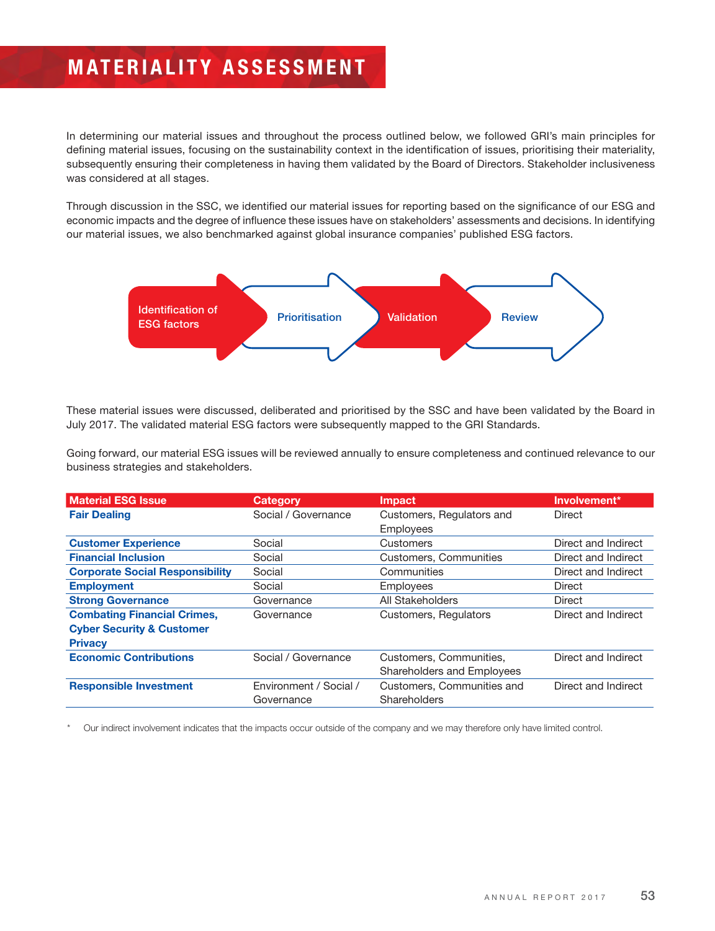# **MATERIALITY ASSESSMENT**

In determining our material issues and throughout the process outlined below, we followed GRI's main principles for defining material issues, focusing on the sustainability context in the identification of issues, prioritising their materiality, subsequently ensuring their completeness in having them validated by the Board of Directors. Stakeholder inclusiveness was considered at all stages.

Through discussion in the SSC, we identified our material issues for reporting based on the significance of our ESG and economic impacts and the degree of influence these issues have on stakeholders' assessments and decisions. In identifying our material issues, we also benchmarked against global insurance companies' published ESG factors.



These material issues were discussed, deliberated and prioritised by the SSC and have been validated by the Board in July 2017. The validated material ESG factors were subsequently mapped to the GRI Standards.

Going forward, our material ESG issues will be reviewed annually to ensure completeness and continued relevance to our business strategies and stakeholders.

| <b>Material ESG Issue</b>              | <b>Category</b>        | <b>Impact</b>              | Involvement*        |
|----------------------------------------|------------------------|----------------------------|---------------------|
| <b>Fair Dealing</b>                    | Social / Governance    | Customers, Regulators and  | Direct              |
|                                        |                        | <b>Employees</b>           |                     |
| <b>Customer Experience</b>             | Social                 | Customers                  | Direct and Indirect |
| <b>Financial Inclusion</b>             | Social                 | Customers, Communities     | Direct and Indirect |
| <b>Corporate Social Responsibility</b> | Social                 | Communities                | Direct and Indirect |
| <b>Employment</b>                      | Social                 | Employees                  | Direct              |
| <b>Strong Governance</b>               | Governance             | All Stakeholders           | Direct              |
| <b>Combating Financial Crimes,</b>     | Governance             | Customers, Regulators      | Direct and Indirect |
| <b>Cyber Security &amp; Customer</b>   |                        |                            |                     |
| <b>Privacy</b>                         |                        |                            |                     |
| <b>Economic Contributions</b>          | Social / Governance    | Customers, Communities,    | Direct and Indirect |
|                                        |                        | Shareholders and Employees |                     |
| <b>Responsible Investment</b>          | Environment / Social / | Customers, Communities and | Direct and Indirect |
|                                        | Governance             | Shareholders               |                     |

Our indirect involvement indicates that the impacts occur outside of the company and we may therefore only have limited control.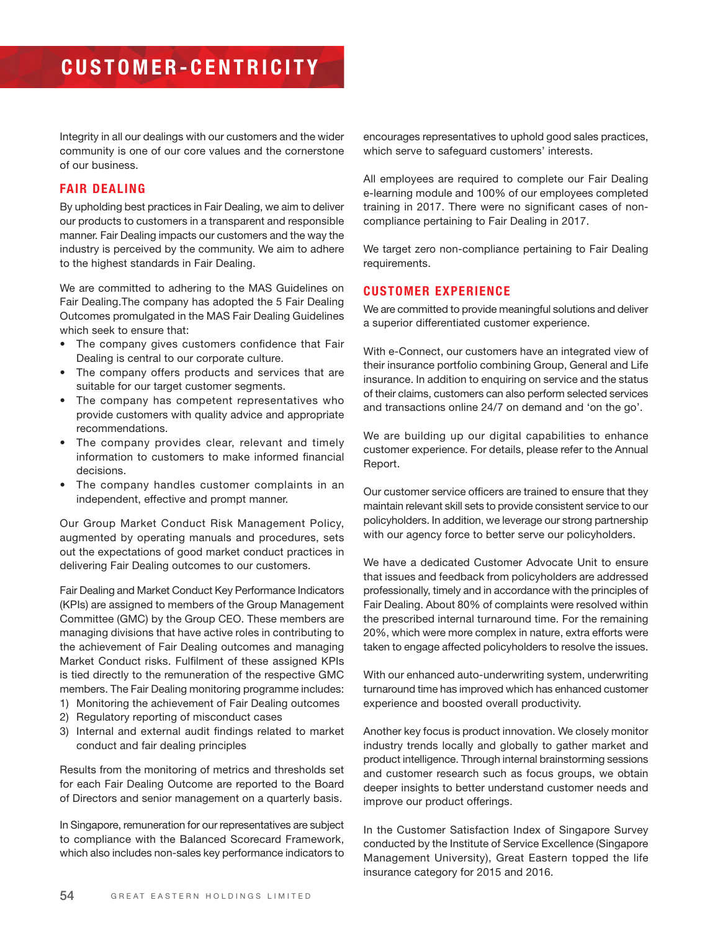Integrity in all our dealings with our customers and the wider community is one of our core values and the cornerstone of our business.

#### **FAIR DEALING**

By upholding best practices in Fair Dealing, we aim to deliver our products to customers in a transparent and responsible manner. Fair Dealing impacts our customers and the way the industry is perceived by the community. We aim to adhere to the highest standards in Fair Dealing.

We are committed to adhering to the MAS Guidelines on Fair Dealing.The company has adopted the 5 Fair Dealing Outcomes promulgated in the MAS Fair Dealing Guidelines which seek to ensure that:

- The company gives customers confidence that Fair Dealing is central to our corporate culture.
- The company offers products and services that are suitable for our target customer segments.
- The company has competent representatives who provide customers with quality advice and appropriate recommendations.
- The company provides clear, relevant and timely information to customers to make informed financial decisions.
- The company handles customer complaints in an independent, effective and prompt manner.

Our Group Market Conduct Risk Management Policy, augmented by operating manuals and procedures, sets out the expectations of good market conduct practices in delivering Fair Dealing outcomes to our customers.

Fair Dealing and Market Conduct Key Performance Indicators (KPIs) are assigned to members of the Group Management Committee (GMC) by the Group CEO. These members are managing divisions that have active roles in contributing to the achievement of Fair Dealing outcomes and managing Market Conduct risks. Fulfilment of these assigned KPIs is tied directly to the remuneration of the respective GMC members. The Fair Dealing monitoring programme includes:

- 1) Monitoring the achievement of Fair Dealing outcomes
- 2) Regulatory reporting of misconduct cases
- 3) Internal and external audit findings related to market conduct and fair dealing principles

Results from the monitoring of metrics and thresholds set for each Fair Dealing Outcome are reported to the Board of Directors and senior management on a quarterly basis.

In Singapore, remuneration for our representatives are subject to compliance with the Balanced Scorecard Framework, which also includes non-sales key performance indicators to encourages representatives to uphold good sales practices, which serve to safeguard customers' interests.

All employees are required to complete our Fair Dealing e-learning module and 100% of our employees completed training in 2017. There were no significant cases of noncompliance pertaining to Fair Dealing in 2017.

We target zero non-compliance pertaining to Fair Dealing requirements.

#### **CUSTOMER EXPERIENCE**

We are committed to provide meaningful solutions and deliver a superior differentiated customer experience.

With e-Connect, our customers have an integrated view of their insurance portfolio combining Group, General and Life insurance. In addition to enquiring on service and the status of their claims, customers can also perform selected services and transactions online 24/7 on demand and 'on the go'.

We are building up our digital capabilities to enhance customer experience. For details, please refer to the Annual Report.

Our customer service officers are trained to ensure that they maintain relevant skill sets to provide consistent service to our policyholders. In addition, we leverage our strong partnership with our agency force to better serve our policyholders.

We have a dedicated Customer Advocate Unit to ensure that issues and feedback from policyholders are addressed professionally, timely and in accordance with the principles of Fair Dealing. About 80% of complaints were resolved within the prescribed internal turnaround time. For the remaining 20%, which were more complex in nature, extra efforts were taken to engage affected policyholders to resolve the issues.

With our enhanced auto-underwriting system, underwriting turnaround time has improved which has enhanced customer experience and boosted overall productivity.

Another key focus is product innovation. We closely monitor industry trends locally and globally to gather market and product intelligence. Through internal brainstorming sessions and customer research such as focus groups, we obtain deeper insights to better understand customer needs and improve our product offerings.

In the Customer Satisfaction Index of Singapore Survey conducted by the Institute of Service Excellence (Singapore Management University), Great Eastern topped the life insurance category for 2015 and 2016.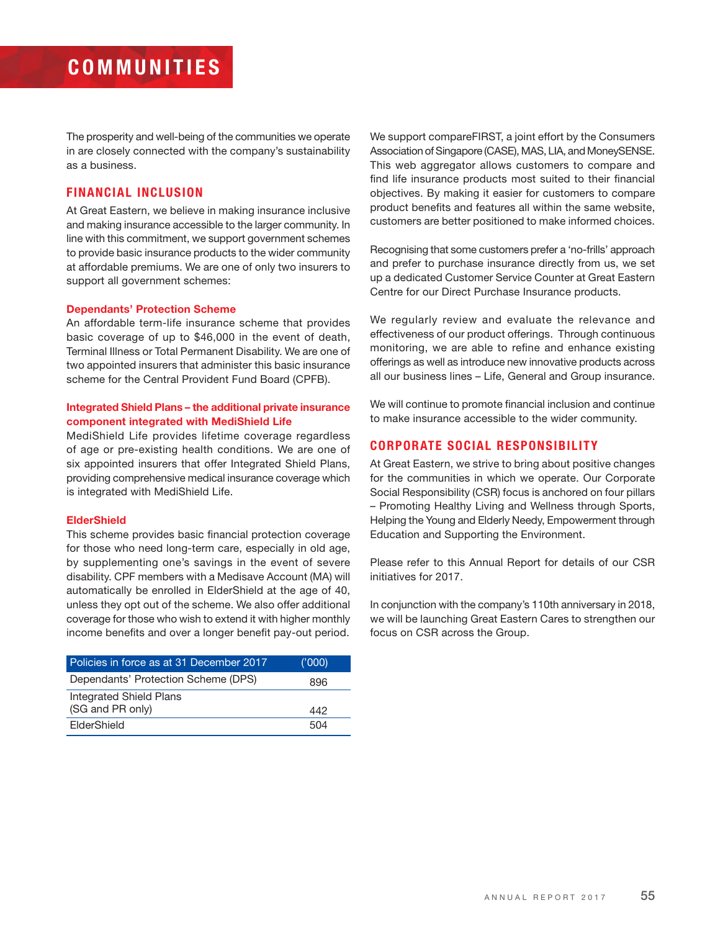# **COMMUNITIES**

The prosperity and well-being of the communities we operate in are closely connected with the company's sustainability as a business.

#### **FINANCIAL INCLUSION**

At Great Eastern, we believe in making insurance inclusive and making insurance accessible to the larger community. In line with this commitment, we support government schemes to provide basic insurance products to the wider community at affordable premiums. We are one of only two insurers to support all government schemes:

#### **Dependants' Protection Scheme**

An affordable term-life insurance scheme that provides basic coverage of up to \$46,000 in the event of death, Terminal Illness or Total Permanent Disability. We are one of two appointed insurers that administer this basic insurance scheme for the Central Provident Fund Board (CPFB).

#### **Integrated Shield Plans – the additional private insurance component integrated with MediShield Life**

MediShield Life provides lifetime coverage regardless of age or pre-existing health conditions. We are one of six appointed insurers that offer Integrated Shield Plans, providing comprehensive medical insurance coverage which is integrated with MediShield Life.

#### **ElderShield**

This scheme provides basic financial protection coverage for those who need long-term care, especially in old age, by supplementing one's savings in the event of severe disability. CPF members with a Medisave Account (MA) will automatically be enrolled in ElderShield at the age of 40, unless they opt out of the scheme. We also offer additional coverage for those who wish to extend it with higher monthly income benefits and over a longer benefit pay-out period.

| Policies in force as at 31 December 2017    | (000) |
|---------------------------------------------|-------|
| Dependants' Protection Scheme (DPS)         | 896   |
| Integrated Shield Plans<br>(SG and PR only) | 442   |
| ElderShield                                 | 504   |

We support compareFIRST, a joint effort by the Consumers Association of Singapore (CASE), MAS, LIA, and MoneySENSE. This web aggregator allows customers to compare and find life insurance products most suited to their financial objectives. By making it easier for customers to compare product benefits and features all within the same website, customers are better positioned to make informed choices.

Recognising that some customers prefer a 'no-frills' approach and prefer to purchase insurance directly from us, we set up a dedicated Customer Service Counter at Great Eastern Centre for our Direct Purchase Insurance products.

We regularly review and evaluate the relevance and effectiveness of our product offerings. Through continuous monitoring, we are able to refine and enhance existing offerings as well as introduce new innovative products across all our business lines – Life, General and Group insurance.

We will continue to promote financial inclusion and continue to make insurance accessible to the wider community.

#### **CORPORATE SOCIAL RESPONSIBILITY**

At Great Eastern, we strive to bring about positive changes for the communities in which we operate. Our Corporate Social Responsibility (CSR) focus is anchored on four pillars – Promoting Healthy Living and Wellness through Sports, Helping the Young and Elderly Needy, Empowerment through Education and Supporting the Environment.

Please refer to this Annual Report for details of our CSR initiatives for 2017.

In conjunction with the company's 110th anniversary in 2018, we will be launching Great Eastern Cares to strengthen our focus on CSR across the Group.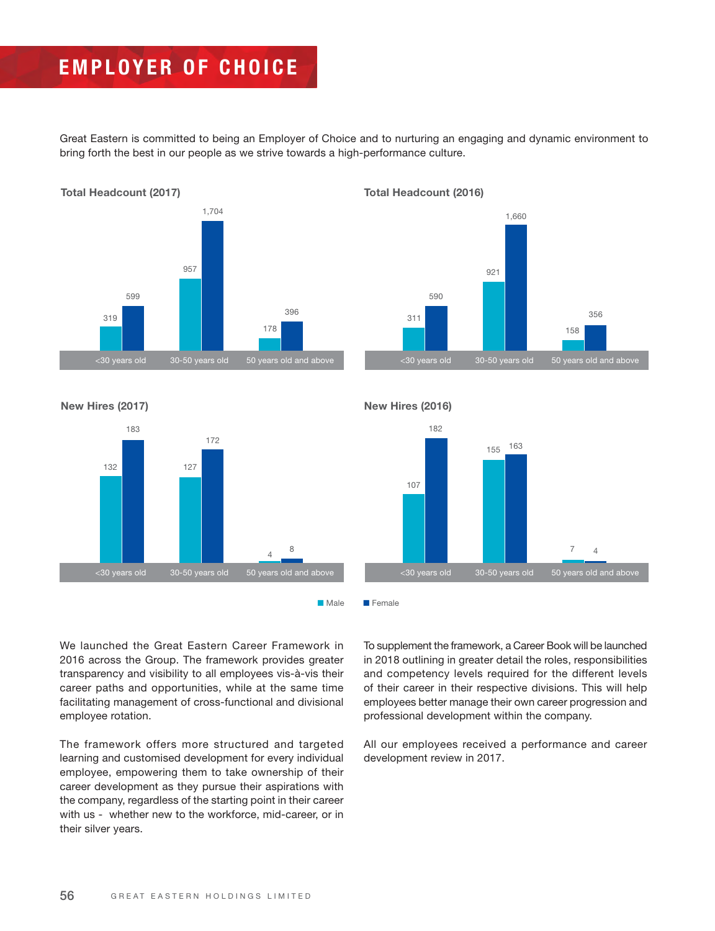# **EMPLOYER OF CHOICE**

Great Eastern is committed to being an Employer of Choice and to nurturing an engaging and dynamic environment to bring forth the best in our people as we strive towards a high-performance culture.



**Total Headcount (2016)**



**New Hires (2017)**



**New Hires (2016)**



■ Male ■ Female

We launched the Great Eastern Career Framework in 2016 across the Group. The framework provides greater transparency and visibility to all employees vis-à-vis their career paths and opportunities, while at the same time facilitating management of cross-functional and divisional employee rotation.

The framework offers more structured and targeted learning and customised development for every individual employee, empowering them to take ownership of their career development as they pursue their aspirations with the company, regardless of the starting point in their career with us - whether new to the workforce, mid-career, or in their silver years.

To supplement the framework, a Career Book will be launched in 2018 outlining in greater detail the roles, responsibilities and competency levels required for the different levels of their career in their respective divisions. This will help employees better manage their own career progression and professional development within the company.

All our employees received a performance and career development review in 2017.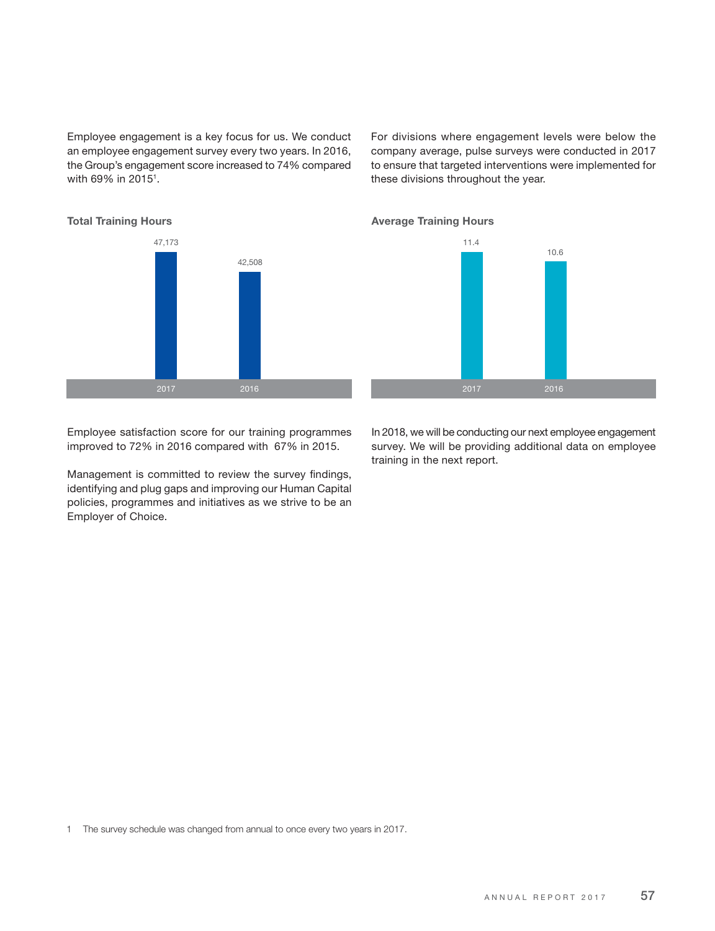Employee engagement is a key focus for us. We conduct an employee engagement survey every two years. In 2016, the Group's engagement score increased to 74% compared with 69% in 2015<sup>1</sup>.

For divisions where engagement levels were below the company average, pulse surveys were conducted in 2017 to ensure that targeted interventions were implemented for these divisions throughout the year.



10.6

Employee satisfaction score for our training programmes improved to 72% in 2016 compared with 67% in 2015.

Management is committed to review the survey findings, identifying and plug gaps and improving our Human Capital policies, programmes and initiatives as we strive to be an Employer of Choice.

In 2018, we will be conducting our next employee engagement survey. We will be providing additional data on employee training in the next report.

1 The survey schedule was changed from annual to once every two years in 2017.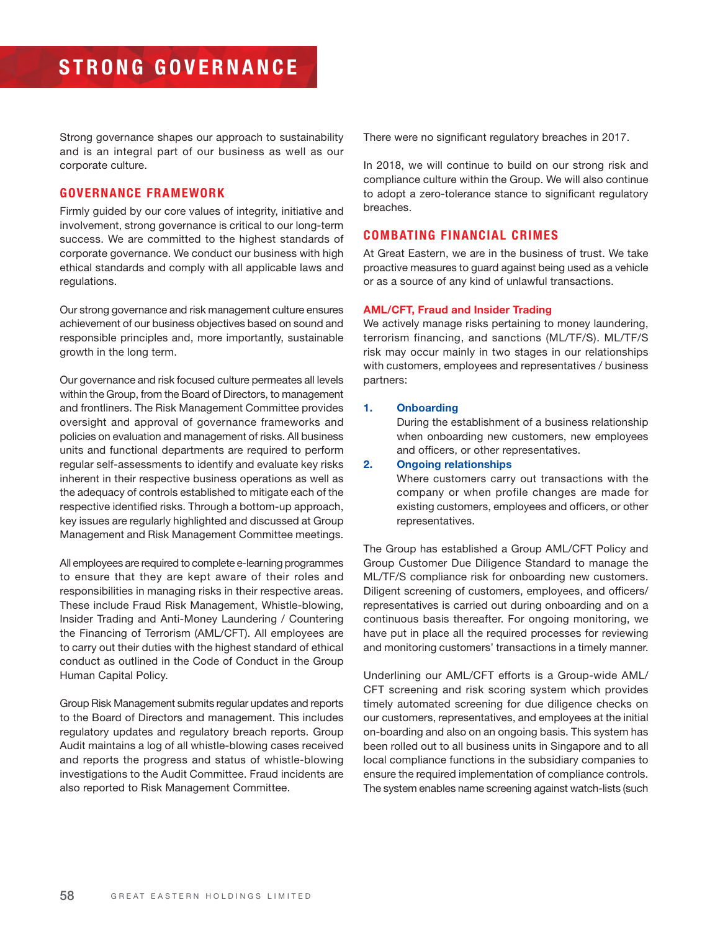Strong governance shapes our approach to sustainability and is an integral part of our business as well as our corporate culture.

#### **GOVERNANCE FRAMEWORK**

Firmly guided by our core values of integrity, initiative and involvement, strong governance is critical to our long-term success. We are committed to the highest standards of corporate governance. We conduct our business with high ethical standards and comply with all applicable laws and regulations.

Our strong governance and risk management culture ensures achievement of our business objectives based on sound and responsible principles and, more importantly, sustainable growth in the long term.

Our governance and risk focused culture permeates all levels within the Group, from the Board of Directors, to management and frontliners. The Risk Management Committee provides oversight and approval of governance frameworks and policies on evaluation and management of risks. All business units and functional departments are required to perform regular self-assessments to identify and evaluate key risks inherent in their respective business operations as well as the adequacy of controls established to mitigate each of the respective identified risks. Through a bottom-up approach, key issues are regularly highlighted and discussed at Group Management and Risk Management Committee meetings.

All employees are required to complete e-learning programmes to ensure that they are kept aware of their roles and responsibilities in managing risks in their respective areas. These include Fraud Risk Management, Whistle-blowing, Insider Trading and Anti-Money Laundering / Countering the Financing of Terrorism (AML/CFT). All employees are to carry out their duties with the highest standard of ethical conduct as outlined in the Code of Conduct in the Group Human Capital Policy.

Group Risk Management submits regular updates and reports to the Board of Directors and management. This includes regulatory updates and regulatory breach reports. Group Audit maintains a log of all whistle-blowing cases received and reports the progress and status of whistle-blowing investigations to the Audit Committee. Fraud incidents are also reported to Risk Management Committee.

There were no significant regulatory breaches in 2017.

In 2018, we will continue to build on our strong risk and compliance culture within the Group. We will also continue to adopt a zero-tolerance stance to significant regulatory breaches.

#### **COMBATING FINANCIAL CRIMES**

At Great Eastern, we are in the business of trust. We take proactive measures to guard against being used as a vehicle or as a source of any kind of unlawful transactions.

#### **AML/CFT, Fraud and Insider Trading**

We actively manage risks pertaining to money laundering, terrorism financing, and sanctions (ML/TF/S). ML/TF/S risk may occur mainly in two stages in our relationships with customers, employees and representatives / business partners:

#### **1. Onboarding**

 During the establishment of a business relationship when onboarding new customers, new employees and officers, or other representatives.

#### **2. Ongoing relationships**

 Where customers carry out transactions with the company or when profile changes are made for existing customers, employees and officers, or other representatives.

The Group has established a Group AML/CFT Policy and Group Customer Due Diligence Standard to manage the ML/TF/S compliance risk for onboarding new customers. Diligent screening of customers, employees, and officers/ representatives is carried out during onboarding and on a continuous basis thereafter. For ongoing monitoring, we have put in place all the required processes for reviewing and monitoring customers' transactions in a timely manner.

Underlining our AML/CFT efforts is a Group-wide AML/ CFT screening and risk scoring system which provides timely automated screening for due diligence checks on our customers, representatives, and employees at the initial on-boarding and also on an ongoing basis. This system has been rolled out to all business units in Singapore and to all local compliance functions in the subsidiary companies to ensure the required implementation of compliance controls. The system enables name screening against watch-lists (such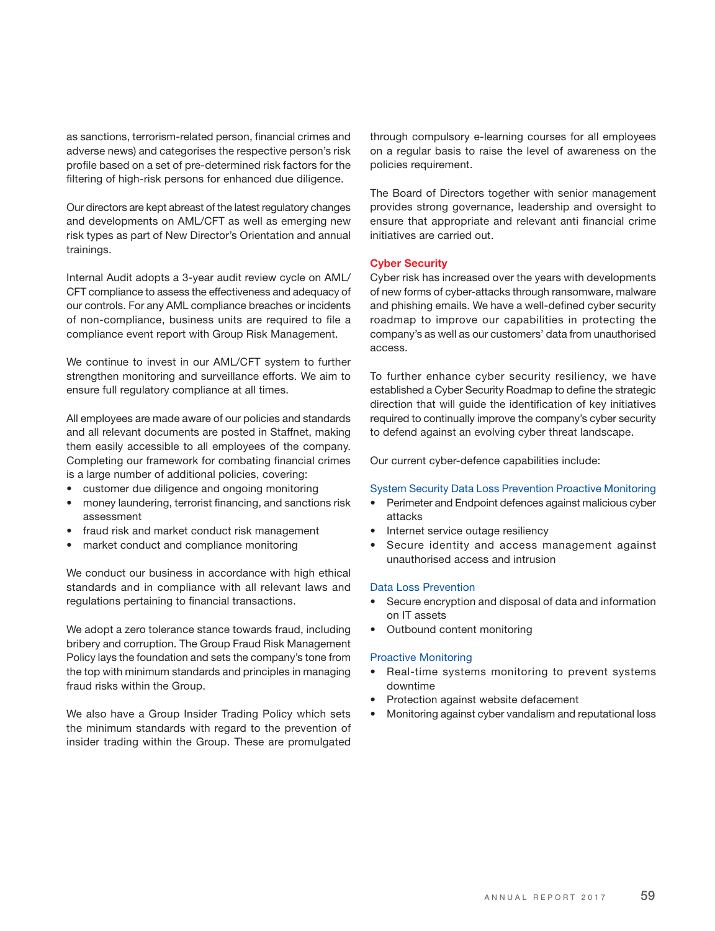as sanctions, terrorism-related person, financial crimes and adverse news) and categorises the respective person's risk profile based on a set of pre-determined risk factors for the filtering of high-risk persons for enhanced due diligence.

Our directors are kept abreast of the latest regulatory changes and developments on AML/CFT as well as emerging new risk types as part of New Director's Orientation and annual trainings.

Internal Audit adopts a 3-year audit review cycle on AML/ CFT compliance to assess the effectiveness and adequacy of our controls. For any AML compliance breaches or incidents of non-compliance, business units are required to file a compliance event report with Group Risk Management.

We continue to invest in our AML/CFT system to further strengthen monitoring and surveillance efforts. We aim to ensure full regulatory compliance at all times.

All employees are made aware of our policies and standards and all relevant documents are posted in Staffnet, making them easily accessible to all employees of the company. Completing our framework for combating financial crimes is a large number of additional policies, covering:

- customer due diligence and ongoing monitoring
- money laundering, terrorist financing, and sanctions risk assessment
- fraud risk and market conduct risk management
- market conduct and compliance monitoring

We conduct our business in accordance with high ethical standards and in compliance with all relevant laws and regulations pertaining to financial transactions.

We adopt a zero tolerance stance towards fraud, including bribery and corruption. The Group Fraud Risk Management Policy lays the foundation and sets the company's tone from the top with minimum standards and principles in managing fraud risks within the Group.

We also have a Group Insider Trading Policy which sets the minimum standards with regard to the prevention of insider trading within the Group. These are promulgated through compulsory e-learning courses for all employees on a regular basis to raise the level of awareness on the policies requirement.

The Board of Directors together with senior management provides strong governance, leadership and oversight to ensure that appropriate and relevant anti financial crime initiatives are carried out.

#### **Cyber Security**

Cyber risk has increased over the years with developments of new forms of cyber-attacks through ransomware, malware and phishing emails. We have a well-defined cyber security roadmap to improve our capabilities in protecting the company's as well as our customers' data from unauthorised access.

To further enhance cyber security resiliency, we have established a Cyber Security Roadmap to define the strategic direction that will quide the identification of key initiatives required to continually improve the company's cyber security to defend against an evolving cyber threat landscape.

Our current cyber-defence capabilities include:

#### System Security Data Loss Prevention Proactive Monitoring

- Perimeter and Endpoint defences against malicious cyber attacks
- Internet service outage resiliency
- Secure identity and access management against unauthorised access and intrusion

#### Data Loss Prevention

- Secure encryption and disposal of data and information on IT assets
- Outbound content monitoring

#### Proactive Monitoring

- Real-time systems monitoring to prevent systems downtime
- Protection against website defacement
- Monitoring against cyber vandalism and reputational loss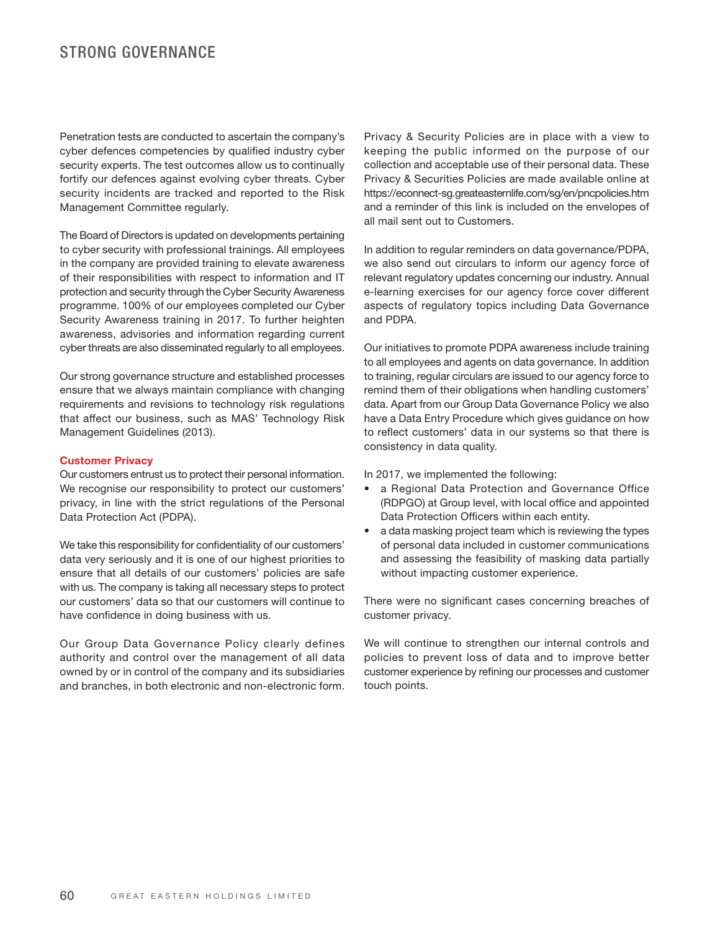### STRONG GOVERNANCE

Penetration tests are conducted to ascertain the company's cyber defences competencies by qualified industry cyber security experts. The test outcomes allow us to continually fortify our defences against evolving cyber threats. Cyber security incidents are tracked and reported to the Risk Management Committee regularly.

The Board of Directors is updated on developments pertaining to cyber security with professional trainings. All employees in the company are provided training to elevate awareness of their responsibilities with respect to information and IT protection and security through the Cyber Security Awareness programme. 100% of our employees completed our Cyber Security Awareness training in 2017. To further heighten awareness, advisories and information regarding current cyber threats are also disseminated regularly to all employees.

Our strong governance structure and established processes ensure that we always maintain compliance with changing requirements and revisions to technology risk regulations that affect our business, such as MAS' Technology Risk Management Guidelines (2013).

#### **Customer Privacy**

Our customers entrust us to protect their personal information. We recognise our responsibility to protect our customers' privacy, in line with the strict regulations of the Personal Data Protection Act (PDPA).

We take this responsibility for confidentiality of our customers' data very seriously and it is one of our highest priorities to ensure that all details of our customers' policies are safe with us. The company is taking all necessary steps to protect our customers' data so that our customers will continue to have confidence in doing business with us.

Our Group Data Governance Policy clearly defines authority and control over the management of all data owned by or in control of the company and its subsidiaries and branches, in both electronic and non-electronic form.

Privacy & Security Policies are in place with a view to keeping the public informed on the purpose of our collection and acceptable use of their personal data. These Privacy & Securities Policies are made available online at https://econnect-sg.greateasternlife.com/sg/en/pncpolicies.htm and a reminder of this link is included on the envelopes of all mail sent out to Customers.

In addition to regular reminders on data governance/PDPA, we also send out circulars to inform our agency force of relevant regulatory updates concerning our industry. Annual e-learning exercises for our agency force cover different aspects of regulatory topics including Data Governance and PDPA.

Our initiatives to promote PDPA awareness include training to all employees and agents on data governance. In addition to training, regular circulars are issued to our agency force to remind them of their obligations when handling customers' data. Apart from our Group Data Governance Policy we also have a Data Entry Procedure which gives guidance on how to reflect customers' data in our systems so that there is consistency in data quality.

In 2017, we implemented the following:

- a Regional Data Protection and Governance Office (RDPGO) at Group level, with local office and appointed Data Protection Officers within each entity.
- a data masking project team which is reviewing the types of personal data included in customer communications and assessing the feasibility of masking data partially without impacting customer experience.

There were no significant cases concerning breaches of customer privacy.

We will continue to strengthen our internal controls and policies to prevent loss of data and to improve better customer experience by refining our processes and customer touch points.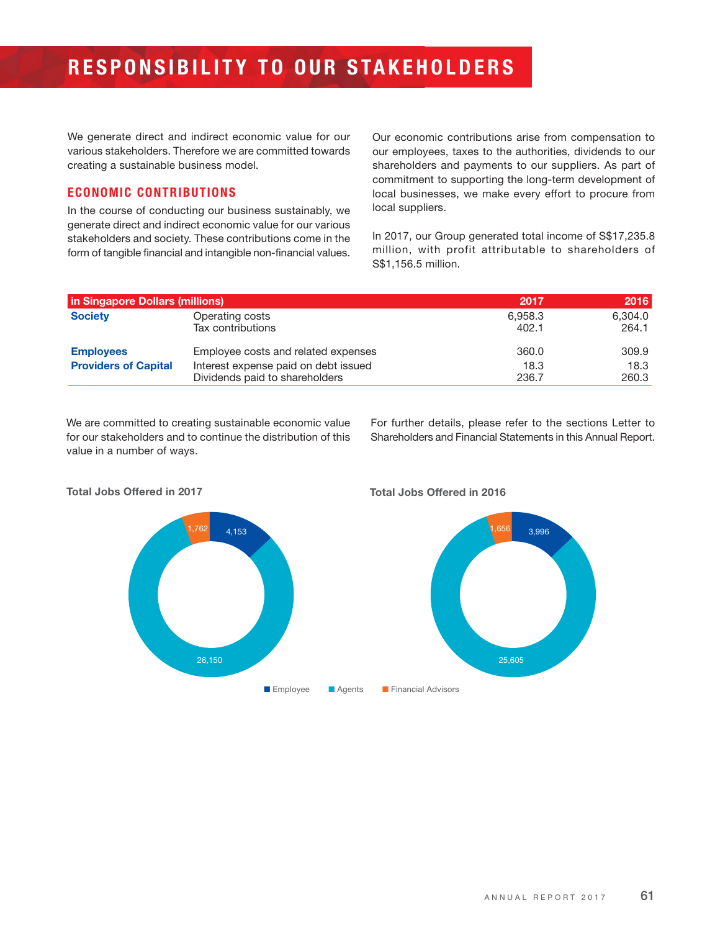We generate direct and indirect economic value for our various stakeholders. Therefore we are committed towards creating a sustainable business model.

#### **ECONOMIC CONTRIBUTIONS**

In the course of conducting our business sustainably, we generate direct and indirect economic value for our various stakeholders and society. These contributions come in the form of tangible financial and intangible non-financial values. Our economic contributions arise from compensation to our employees, taxes to the authorities, dividends to our shareholders and payments to our suppliers. As part of commitment to supporting the long-term development of local businesses, we make every effort to procure from local suppliers.

In 2017, our Group generated total income of S\$17,235.8 million, with profit attributable to shareholders of S\$1,156.5 million.

| in Singapore Dollars (millions) |                                      | 2017    | 2016    |
|---------------------------------|--------------------------------------|---------|---------|
| <b>Society</b>                  | Operating costs                      | 6.958.3 | 6.304.0 |
|                                 | Tax contributions                    | 402.1   | 264.1   |
| <b>Employees</b>                | Employee costs and related expenses  | 360.0   | 309.9   |
| <b>Providers of Capital</b>     | Interest expense paid on debt issued | 18.3    | 18.3    |
|                                 | Dividends paid to shareholders       | 236.7   | 260.3   |

We are committed to creating sustainable economic value for our stakeholders and to continue the distribution of this value in a number of ways.

For further details, please refer to the sections Letter to Shareholders and Financial Statements in this Annual Report.

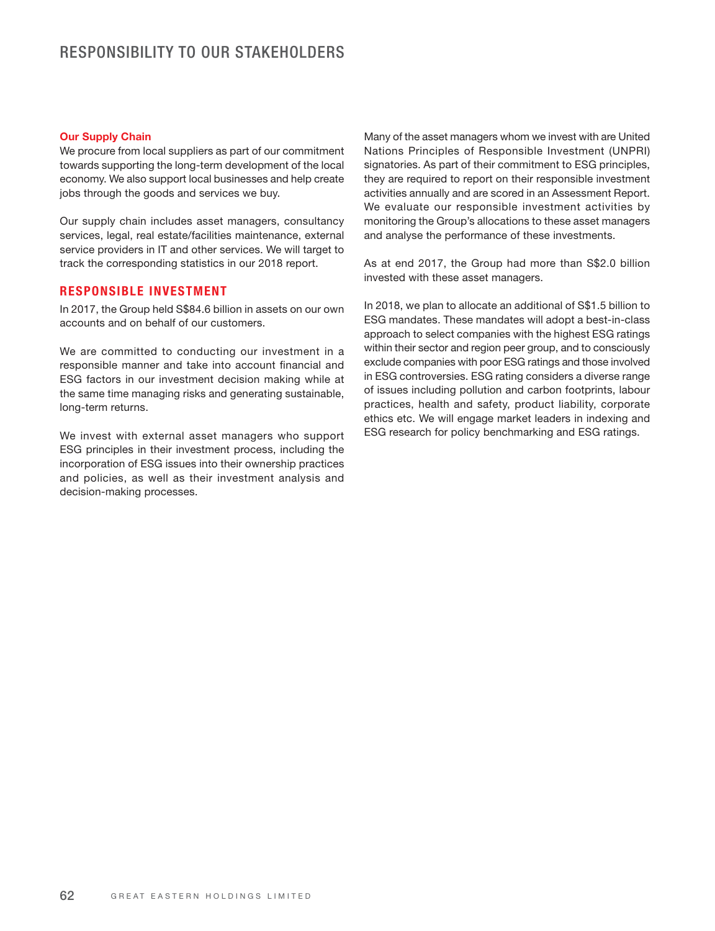#### **Our Supply Chain**

We procure from local suppliers as part of our commitment towards supporting the long-term development of the local economy. We also support local businesses and help create jobs through the goods and services we buy.

Our supply chain includes asset managers, consultancy services, legal, real estate/facilities maintenance, external service providers in IT and other services. We will target to track the corresponding statistics in our 2018 report.

#### **RESPONSIBLE INVESTMENT**

In 2017, the Group held S\$84.6 billion in assets on our own accounts and on behalf of our customers.

We are committed to conducting our investment in a responsible manner and take into account financial and ESG factors in our investment decision making while at the same time managing risks and generating sustainable, long-term returns.

We invest with external asset managers who support ESG principles in their investment process, including the incorporation of ESG issues into their ownership practices and policies, as well as their investment analysis and decision-making processes.

Many of the asset managers whom we invest with are United Nations Principles of Responsible Investment (UNPRI) signatories. As part of their commitment to ESG principles, they are required to report on their responsible investment activities annually and are scored in an Assessment Report. We evaluate our responsible investment activities by monitoring the Group's allocations to these asset managers and analyse the performance of these investments.

As at end 2017, the Group had more than S\$2.0 billion invested with these asset managers.

In 2018, we plan to allocate an additional of S\$1.5 billion to ESG mandates. These mandates will adopt a best-in-class approach to select companies with the highest ESG ratings within their sector and region peer group, and to consciously exclude companies with poor ESG ratings and those involved in ESG controversies. ESG rating considers a diverse range of issues including pollution and carbon footprints, labour practices, health and safety, product liability, corporate ethics etc. We will engage market leaders in indexing and ESG research for policy benchmarking and ESG ratings.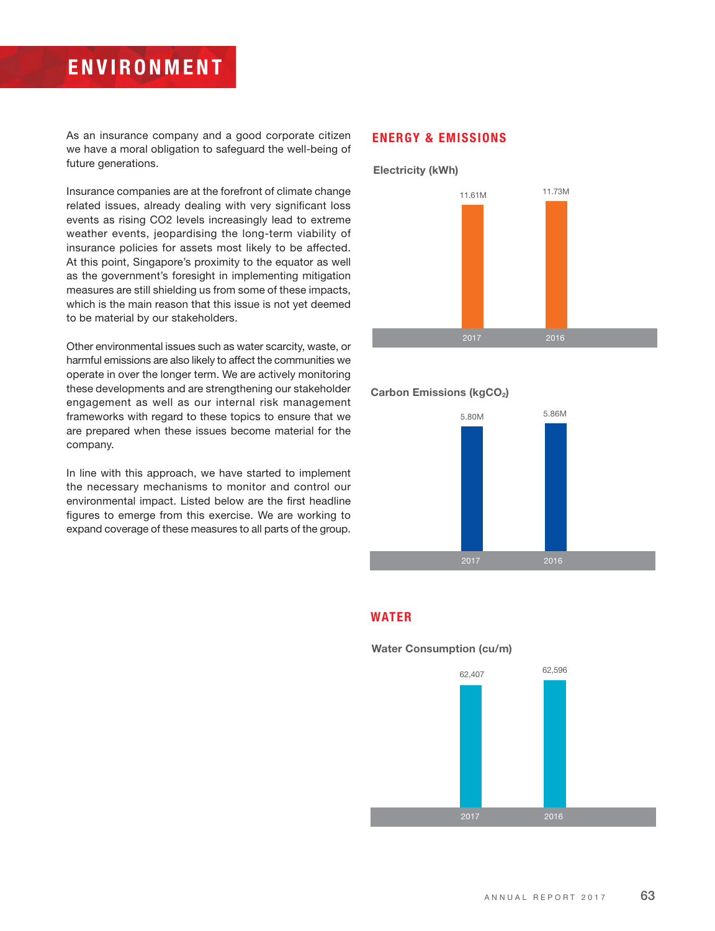# **ENVIRONMENT**

As an insurance company and a good corporate citizen we have a moral obligation to safeguard the well-being of future generations.

Insurance companies are at the forefront of climate change related issues, already dealing with very significant loss events as rising CO2 levels increasingly lead to extreme weather events, jeopardising the long-term viability of insurance policies for assets most likely to be affected. At this point, Singapore's proximity to the equator as well as the government's foresight in implementing mitigation measures are still shielding us from some of these impacts, which is the main reason that this issue is not yet deemed to be material by our stakeholders.

Other environmental issues such as water scarcity, waste, or harmful emissions are also likely to affect the communities we operate in over the longer term. We are actively monitoring these developments and are strengthening our stakeholder engagement as well as our internal risk management frameworks with regard to these topics to ensure that we are prepared when these issues become material for the company.

In line with this approach, we have started to implement the necessary mechanisms to monitor and control our environmental impact. Listed below are the first headline figures to emerge from this exercise. We are working to expand coverage of these measures to all parts of the group.

#### **ENERGY & EMISSIONS**



#### Carbon Emissions (kgCO<sub>2</sub>)



#### **WATER**



**Water Consumption (cu/m)**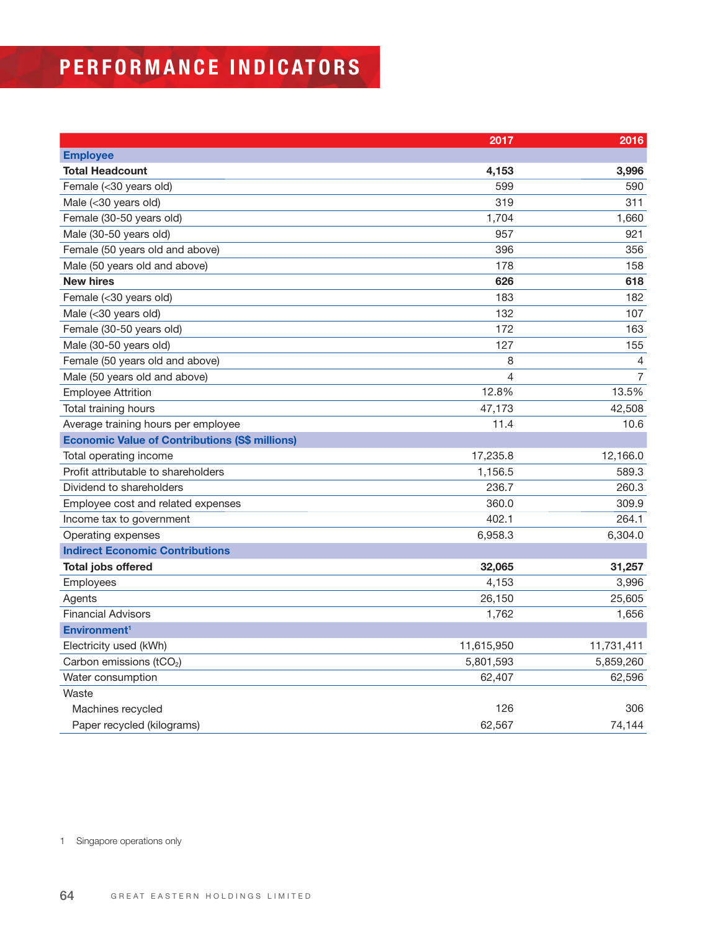# **PERFORMANCE INDICATORS**

|                                                       | 2017       | 2016           |
|-------------------------------------------------------|------------|----------------|
| <b>Employee</b>                                       |            |                |
| <b>Total Headcount</b>                                | 4,153      | 3,996          |
| Female (<30 years old)                                | 599        | 590            |
| Male (<30 years old)                                  | 319        | 311            |
| Female (30-50 years old)                              | 1,704      | 1,660          |
| Male (30-50 years old)                                | 957        | 921            |
| Female (50 years old and above)                       | 396        | 356            |
| Male (50 years old and above)                         | 178        | 158            |
| <b>New hires</b>                                      | 626        | 618            |
| Female (<30 years old)                                | 183        | 182            |
| Male (<30 years old)                                  | 132        | 107            |
| Female (30-50 years old)                              | 172        | 163            |
| Male (30-50 years old)                                | 127        | 155            |
| Female (50 years old and above)                       | 8          | $\overline{4}$ |
| Male (50 years old and above)                         | 4          | $\overline{7}$ |
| <b>Employee Attrition</b>                             | 12.8%      | 13.5%          |
| Total training hours                                  | 47,173     | 42,508         |
| Average training hours per employee                   | 11.4       | 10.6           |
| <b>Economic Value of Contributions (S\$ millions)</b> |            |                |
| Total operating income                                | 17,235.8   | 12,166.0       |
| Profit attributable to shareholders                   | 1,156.5    | 589.3          |
| Dividend to shareholders                              | 236.7      | 260.3          |
| Employee cost and related expenses                    | 360.0      | 309.9          |
| Income tax to government                              | 402.1      | 264.1          |
| Operating expenses                                    | 6,958.3    | 6,304.0        |
| <b>Indirect Economic Contributions</b>                |            |                |
| <b>Total jobs offered</b>                             | 32,065     | 31,257         |
| Employees                                             | 4,153      | 3,996          |
| Agents                                                | 26,150     | 25,605         |
| <b>Financial Advisors</b>                             | 1,762      | 1,656          |
| Environment <sup>1</sup>                              |            |                |
| Electricity used (kWh)                                | 11,615,950 | 11,731,411     |
| Carbon emissions (tCO <sub>2</sub> )                  | 5,801,593  | 5,859,260      |
| Water consumption                                     | 62,407     | 62,596         |
| Waste                                                 |            |                |
| Machines recycled                                     | 126        | 306            |
| Paper recycled (kilograms)                            | 62,567     | 74,144         |

1 Singapore operations only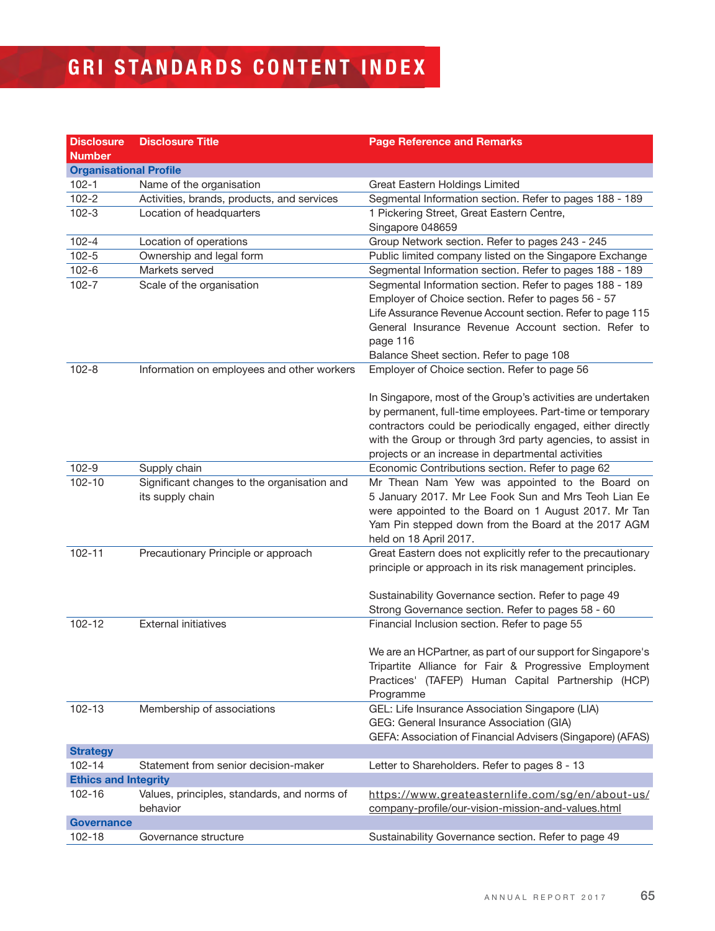# **GRI STANDARDS CONTENT INDEX**

| <b>Disclosure</b>             | <b>Disclosure Title</b>                                         | <b>Page Reference and Remarks</b>                                                                                                                                                                                                                                                                          |
|-------------------------------|-----------------------------------------------------------------|------------------------------------------------------------------------------------------------------------------------------------------------------------------------------------------------------------------------------------------------------------------------------------------------------------|
| <b>Number</b>                 |                                                                 |                                                                                                                                                                                                                                                                                                            |
| <b>Organisational Profile</b> |                                                                 |                                                                                                                                                                                                                                                                                                            |
| $102 - 1$                     | Name of the organisation                                        | Great Eastern Holdings Limited                                                                                                                                                                                                                                                                             |
| $102 - 2$                     | Activities, brands, products, and services                      | Segmental Information section. Refer to pages 188 - 189                                                                                                                                                                                                                                                    |
| $102 - 3$                     | Location of headquarters                                        | 1 Pickering Street, Great Eastern Centre,                                                                                                                                                                                                                                                                  |
|                               |                                                                 | Singapore 048659                                                                                                                                                                                                                                                                                           |
| $102 - 4$                     | Location of operations                                          | Group Network section. Refer to pages 243 - 245                                                                                                                                                                                                                                                            |
| $102 - 5$                     | Ownership and legal form                                        | Public limited company listed on the Singapore Exchange                                                                                                                                                                                                                                                    |
| $102 - 6$                     | Markets served                                                  | Segmental Information section. Refer to pages 188 - 189                                                                                                                                                                                                                                                    |
| $102 - 7$                     | Scale of the organisation                                       | Segmental Information section. Refer to pages 188 - 189<br>Employer of Choice section. Refer to pages 56 - 57<br>Life Assurance Revenue Account section. Refer to page 115<br>General Insurance Revenue Account section. Refer to<br>page 116                                                              |
|                               |                                                                 | Balance Sheet section. Refer to page 108                                                                                                                                                                                                                                                                   |
| $102 - 8$                     | Information on employees and other workers                      | Employer of Choice section. Refer to page 56                                                                                                                                                                                                                                                               |
|                               |                                                                 | In Singapore, most of the Group's activities are undertaken<br>by permanent, full-time employees. Part-time or temporary<br>contractors could be periodically engaged, either directly<br>with the Group or through 3rd party agencies, to assist in<br>projects or an increase in departmental activities |
| $102 - 9$                     | Supply chain                                                    | Economic Contributions section. Refer to page 62                                                                                                                                                                                                                                                           |
| 102-10                        | Significant changes to the organisation and<br>its supply chain | Mr Thean Nam Yew was appointed to the Board on<br>5 January 2017. Mr Lee Fook Sun and Mrs Teoh Lian Ee<br>were appointed to the Board on 1 August 2017. Mr Tan<br>Yam Pin stepped down from the Board at the 2017 AGM<br>held on 18 April 2017.                                                            |
| 102-11                        | Precautionary Principle or approach                             | Great Eastern does not explicitly refer to the precautionary<br>principle or approach in its risk management principles.                                                                                                                                                                                   |
|                               |                                                                 | Sustainability Governance section. Refer to page 49                                                                                                                                                                                                                                                        |
|                               |                                                                 | Strong Governance section. Refer to pages 58 - 60                                                                                                                                                                                                                                                          |
| 102-12                        | <b>External initiatives</b>                                     | Financial Inclusion section. Refer to page 55                                                                                                                                                                                                                                                              |
|                               |                                                                 | We are an HCPartner, as part of our support for Singapore's<br>Tripartite Alliance for Fair & Progressive Employment<br>Practices' (TAFEP) Human Capital Partnership (HCP)<br>Programme                                                                                                                    |
| 102-13                        | Membership of associations                                      | GEL: Life Insurance Association Singapore (LIA)                                                                                                                                                                                                                                                            |
|                               |                                                                 | GEG: General Insurance Association (GIA)                                                                                                                                                                                                                                                                   |
|                               |                                                                 | GEFA: Association of Financial Advisers (Singapore) (AFAS)                                                                                                                                                                                                                                                 |
| <b>Strategy</b>               |                                                                 |                                                                                                                                                                                                                                                                                                            |
| 102-14                        | Statement from senior decision-maker                            | Letter to Shareholders. Refer to pages 8 - 13                                                                                                                                                                                                                                                              |
| <b>Ethics and Integrity</b>   |                                                                 |                                                                                                                                                                                                                                                                                                            |
| 102-16                        | Values, principles, standards, and norms of<br>behavior         | https://www.greateasternlife.com/sg/en/about-us/<br>company-profile/our-vision-mission-and-values.html                                                                                                                                                                                                     |
| <b>Governance</b>             |                                                                 |                                                                                                                                                                                                                                                                                                            |
| 102-18                        | Governance structure                                            | Sustainability Governance section. Refer to page 49                                                                                                                                                                                                                                                        |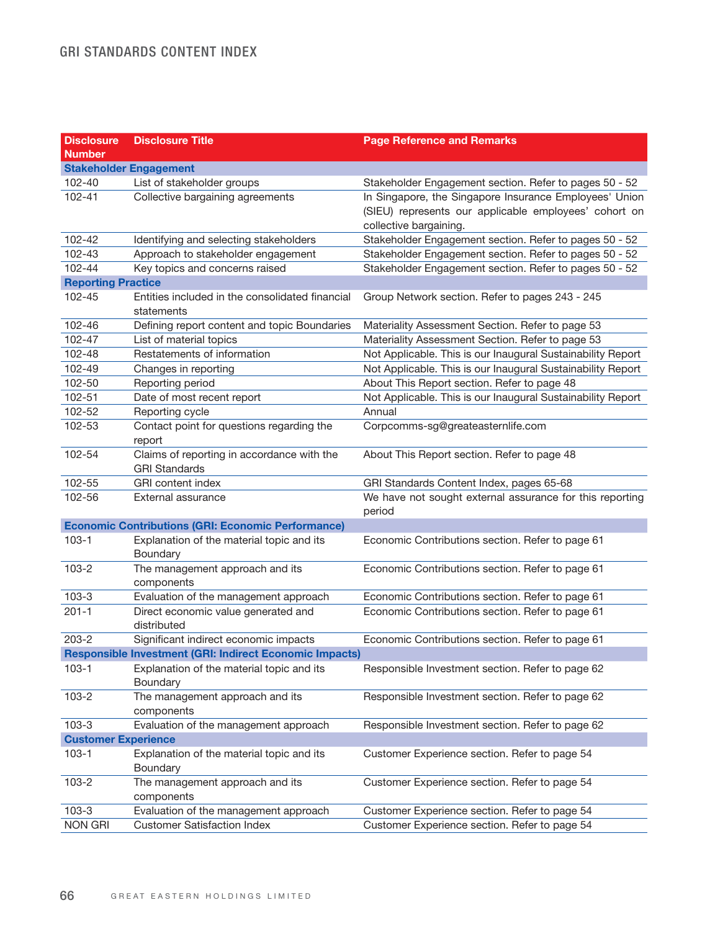### GRI STANDARDS CONTENT INDEX

| <b>Disclosure</b><br><b>Number</b> | <b>Disclosure Title</b>                                            | <b>Page Reference and Remarks</b>                                                                                                         |
|------------------------------------|--------------------------------------------------------------------|-------------------------------------------------------------------------------------------------------------------------------------------|
|                                    | <b>Stakeholder Engagement</b>                                      |                                                                                                                                           |
| 102-40                             | List of stakeholder groups                                         | Stakeholder Engagement section. Refer to pages 50 - 52                                                                                    |
| 102-41                             | Collective bargaining agreements                                   | In Singapore, the Singapore Insurance Employees' Union<br>(SIEU) represents our applicable employees' cohort on<br>collective bargaining. |
| 102-42                             | Identifying and selecting stakeholders                             | Stakeholder Engagement section. Refer to pages 50 - 52                                                                                    |
| 102-43                             | Approach to stakeholder engagement                                 | Stakeholder Engagement section. Refer to pages 50 - 52                                                                                    |
| 102-44                             | Key topics and concerns raised                                     | Stakeholder Engagement section. Refer to pages 50 - 52                                                                                    |
| <b>Reporting Practice</b>          |                                                                    |                                                                                                                                           |
| 102-45                             | Entities included in the consolidated financial<br>statements      | Group Network section. Refer to pages 243 - 245                                                                                           |
| 102-46                             | Defining report content and topic Boundaries                       | Materiality Assessment Section. Refer to page 53                                                                                          |
| 102-47                             | List of material topics                                            | Materiality Assessment Section. Refer to page 53                                                                                          |
| 102-48                             | Restatements of information                                        | Not Applicable. This is our Inaugural Sustainability Report                                                                               |
| 102-49                             | Changes in reporting                                               | Not Applicable. This is our Inaugural Sustainability Report                                                                               |
| 102-50                             | Reporting period                                                   | About This Report section. Refer to page 48                                                                                               |
| 102-51                             | Date of most recent report                                         | Not Applicable. This is our Inaugural Sustainability Report                                                                               |
| 102-52                             | Reporting cycle                                                    | Annual                                                                                                                                    |
| 102-53                             | Contact point for questions regarding the<br>report                | Corpcomms-sg@greateasternlife.com                                                                                                         |
| 102-54                             | Claims of reporting in accordance with the<br><b>GRI Standards</b> | About This Report section. Refer to page 48                                                                                               |
| 102-55                             | <b>GRI</b> content index                                           | GRI Standards Content Index, pages 65-68                                                                                                  |
| 102-56                             | External assurance                                                 | We have not sought external assurance for this reporting<br>period                                                                        |
|                                    | <b>Economic Contributions (GRI: Economic Performance)</b>          |                                                                                                                                           |
| $103 - 1$                          | Explanation of the material topic and its<br>Boundary              | Economic Contributions section. Refer to page 61                                                                                          |
| $103 - 2$                          | The management approach and its<br>components                      | Economic Contributions section. Refer to page 61                                                                                          |
| $103 - 3$                          | Evaluation of the management approach                              | Economic Contributions section. Refer to page 61                                                                                          |
| $201 - 1$                          | Direct economic value generated and<br>distributed                 | Economic Contributions section. Refer to page 61                                                                                          |
| $203 - 2$                          | Significant indirect economic impacts                              | Economic Contributions section. Refer to page 61                                                                                          |
|                                    | <b>Responsible Investment (GRI: Indirect Economic Impacts)</b>     |                                                                                                                                           |
| 103-1                              | Explanation of the material topic and its<br>Boundary              | Responsible Investment section. Refer to page 62                                                                                          |
| $103 - 2$                          | The management approach and its<br>components                      | Responsible Investment section. Refer to page 62                                                                                          |
| $103 - 3$                          | Evaluation of the management approach                              | Responsible Investment section. Refer to page 62                                                                                          |
| <b>Customer Experience</b>         |                                                                    |                                                                                                                                           |
| $103 - 1$                          | Explanation of the material topic and its<br>Boundary              | Customer Experience section. Refer to page 54                                                                                             |
| $103 - 2$                          | The management approach and its<br>components                      | Customer Experience section. Refer to page 54                                                                                             |
| $103 - 3$                          | Evaluation of the management approach                              | Customer Experience section. Refer to page 54                                                                                             |
| <b>NON GRI</b>                     | <b>Customer Satisfaction Index</b>                                 | Customer Experience section. Refer to page 54                                                                                             |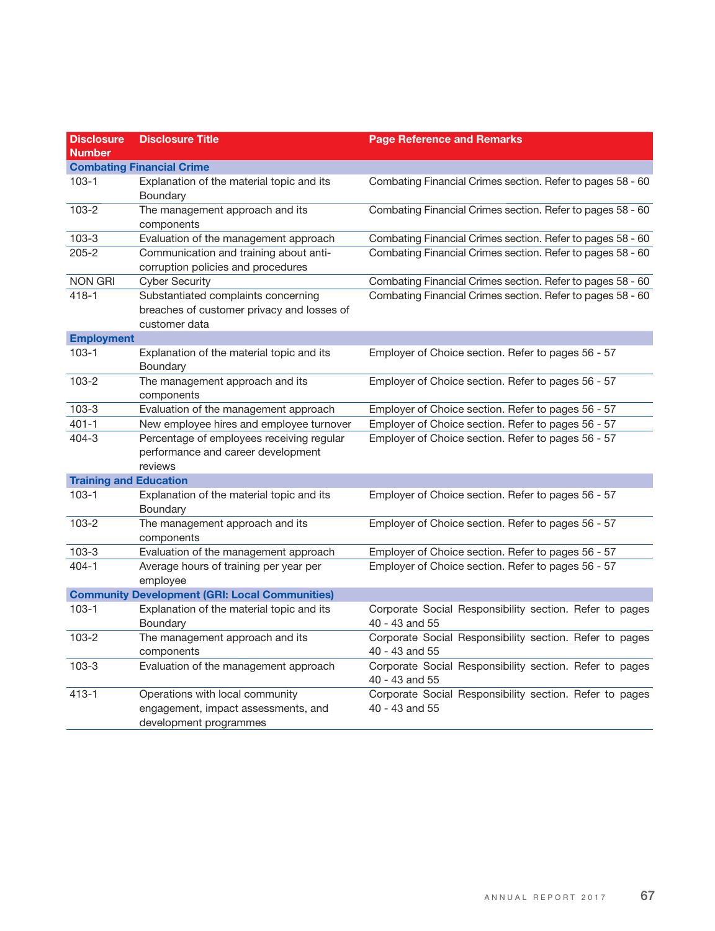| <b>Disclosure</b>             | <b>Disclosure Title</b>                                                                            | <b>Page Reference and Remarks</b>                                         |
|-------------------------------|----------------------------------------------------------------------------------------------------|---------------------------------------------------------------------------|
| <b>Number</b>                 |                                                                                                    |                                                                           |
|                               | <b>Combating Financial Crime</b>                                                                   |                                                                           |
| $103 - 1$                     | Explanation of the material topic and its<br>Boundary                                              | Combating Financial Crimes section. Refer to pages 58 - 60                |
| $103 - 2$                     | The management approach and its<br>components                                                      | Combating Financial Crimes section. Refer to pages 58 - 60                |
| $103 - 3$                     | Evaluation of the management approach                                                              | Combating Financial Crimes section. Refer to pages 58 - 60                |
| $205 - 2$                     | Communication and training about anti-<br>corruption policies and procedures                       | Combating Financial Crimes section. Refer to pages 58 - 60                |
| <b>NON GRI</b>                | <b>Cyber Security</b>                                                                              | Combating Financial Crimes section. Refer to pages 58 - 60                |
| $418 - 1$                     | Substantiated complaints concerning<br>breaches of customer privacy and losses of<br>customer data | Combating Financial Crimes section. Refer to pages 58 - 60                |
| <b>Employment</b>             |                                                                                                    |                                                                           |
| $103 - 1$                     | Explanation of the material topic and its<br>Boundary                                              | Employer of Choice section. Refer to pages 56 - 57                        |
| $103 - 2$                     | The management approach and its<br>components                                                      | Employer of Choice section. Refer to pages 56 - 57                        |
| $103 - 3$                     | Evaluation of the management approach                                                              | Employer of Choice section. Refer to pages 56 - 57                        |
| $401 - 1$                     | New employee hires and employee turnover                                                           | Employer of Choice section. Refer to pages 56 - 57                        |
| $404 - 3$                     | Percentage of employees receiving regular<br>performance and career development<br>reviews         | Employer of Choice section. Refer to pages 56 - 57                        |
| <b>Training and Education</b> |                                                                                                    |                                                                           |
| $103 - 1$                     | Explanation of the material topic and its<br>Boundary                                              | Employer of Choice section. Refer to pages 56 - 57                        |
| 103-2                         | The management approach and its<br>components                                                      | Employer of Choice section. Refer to pages 56 - 57                        |
| $103 - 3$                     | Evaluation of the management approach                                                              | Employer of Choice section. Refer to pages 56 - 57                        |
| $404 - 1$                     | Average hours of training per year per<br>employee                                                 | Employer of Choice section. Refer to pages 56 - 57                        |
|                               | <b>Community Development (GRI: Local Communities)</b>                                              |                                                                           |
| $103 - 1$                     | Explanation of the material topic and its<br>Boundary                                              | Corporate Social Responsibility section. Refer to pages<br>40 - 43 and 55 |
| $103 - 2$                     | The management approach and its<br>components                                                      | Corporate Social Responsibility section. Refer to pages<br>40 - 43 and 55 |
| $103 - 3$                     | Evaluation of the management approach                                                              | Corporate Social Responsibility section. Refer to pages<br>40 - 43 and 55 |
| $413 - 1$                     | Operations with local community<br>engagement, impact assessments, and<br>development programmes   | Corporate Social Responsibility section. Refer to pages<br>40 - 43 and 55 |